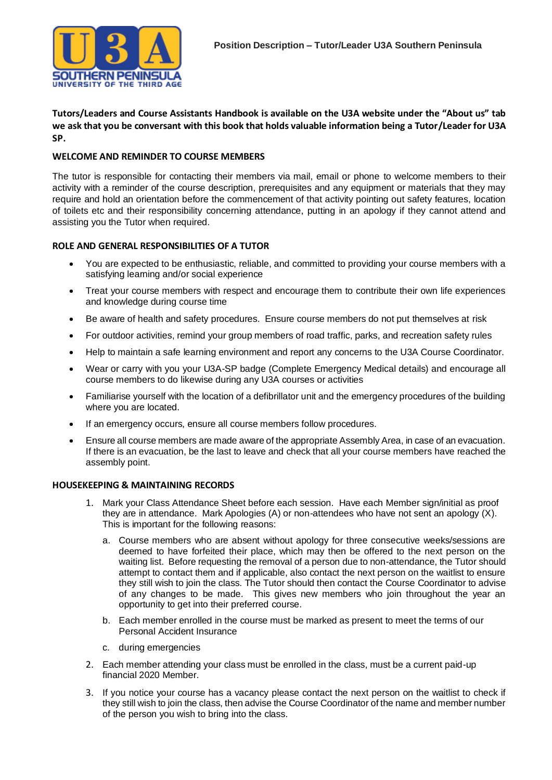

**Tutors/Leaders and Course Assistants Handbook is available on the U3A website under the "About us" tab we ask that you be conversant with this book that holds valuable information being a Tutor/Leader for U3A SP.**

## **WELCOME AND REMINDER TO COURSE MEMBERS**

The tutor is responsible for contacting their members via mail, email or phone to welcome members to their activity with a reminder of the course description, prerequisites and any equipment or materials that they may require and hold an orientation before the commencement of that activity pointing out safety features, location of toilets etc and their responsibility concerning attendance, putting in an apology if they cannot attend and assisting you the Tutor when required.

# **ROLE AND GENERAL RESPONSIBILITIES OF A TUTOR**

- You are expected to be enthusiastic, reliable, and committed to providing your course members with a satisfying learning and/or social experience
- Treat your course members with respect and encourage them to contribute their own life experiences and knowledge during course time
- Be aware of health and safety procedures. Ensure course members do not put themselves at risk
- For outdoor activities, remind your group members of road traffic, parks, and recreation safety rules
- Help to maintain a safe learning environment and report any concerns to the U3A Course Coordinator.
- Wear or carry with you your U3A-SP badge (Complete Emergency Medical details) and encourage all course members to do likewise during any U3A courses or activities
- Familiarise yourself with the location of a defibrillator unit and the emergency procedures of the building where you are located.
- If an emergency occurs, ensure all course members follow procedures.
- Ensure all course members are made aware of the appropriate Assembly Area, in case of an evacuation. If there is an evacuation, be the last to leave and check that all your course members have reached the assembly point.

### **HOUSEKEEPING & MAINTAINING RECORDS**

- 1. Mark your Class Attendance Sheet before each session. Have each Member sign/initial as proof they are in attendance. Mark Apologies (A) or non-attendees who have not sent an apology (X). This is important for the following reasons:
	- a. Course members who are absent without apology for three consecutive weeks/sessions are deemed to have forfeited their place, which may then be offered to the next person on the waiting list. Before requesting the removal of a person due to non-attendance, the Tutor should attempt to contact them and if applicable, also contact the next person on the waitlist to ensure they still wish to join the class. The Tutor should then contact the Course Coordinator to advise of any changes to be made. This gives new members who join throughout the year an opportunity to get into their preferred course.
	- b. Each member enrolled in the course must be marked as present to meet the terms of our Personal Accident Insurance
	- c. during emergencies
- 2. Each member attending your class must be enrolled in the class, must be a current paid-up financial 2020 Member.
- 3. If you notice your course has a vacancy please contact the next person on the waitlist to check if they still wish to join the class, then advise the Course Coordinator of the name and member number of the person you wish to bring into the class.